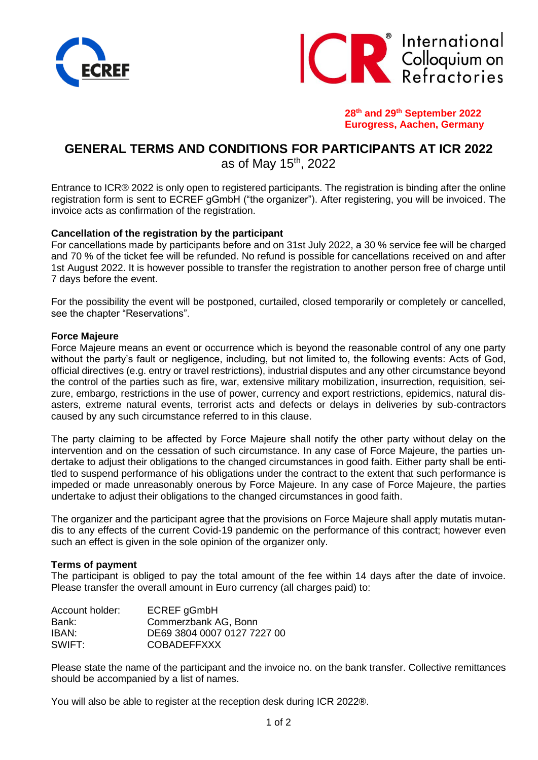



**28th and 29th September 2022 Eurogress, Aachen, Germany**

# **GENERAL TERMS AND CONDITIONS FOR PARTICIPANTS AT ICR 2022** as of May 15th, 2022

Entrance to ICR® 2022 is only open to registered participants. The registration is binding after the online registration form is sent to ECREF gGmbH ("the organizer"). After registering, you will be invoiced. The invoice acts as confirmation of the registration.

# **Cancellation of the registration by the participant**

For cancellations made by participants before and on 31st July 2022, a 30 % service fee will be charged and 70 % of the ticket fee will be refunded. No refund is possible for cancellations received on and after 1st August 2022. It is however possible to transfer the registration to another person free of charge until 7 days before the event.

For the possibility the event will be postponed, curtailed, closed temporarily or completely or cancelled, see the chapter "Reservations".

## **Force Majeure**

Force Majeure means an event or occurrence which is beyond the reasonable control of any one party without the party's fault or negligence, including, but not limited to, the following events: Acts of God, official directives (e.g. entry or travel restrictions), industrial disputes and any other circumstance beyond the control of the parties such as fire, war, extensive military mobilization, insurrection, requisition, seizure, embargo, restrictions in the use of power, currency and export restrictions, epidemics, natural disasters, extreme natural events, terrorist acts and defects or delays in deliveries by sub-contractors caused by any such circumstance referred to in this clause.

The party claiming to be affected by Force Majeure shall notify the other party without delay on the intervention and on the cessation of such circumstance. In any case of Force Majeure, the parties undertake to adjust their obligations to the changed circumstances in good faith. Either party shall be entitled to suspend performance of his obligations under the contract to the extent that such performance is impeded or made unreasonably onerous by Force Majeure. In any case of Force Majeure, the parties undertake to adjust their obligations to the changed circumstances in good faith.

The organizer and the participant agree that the provisions on Force Majeure shall apply mutatis mutandis to any effects of the current Covid-19 pandemic on the performance of this contract; however even such an effect is given in the sole opinion of the organizer only.

## **Terms of payment**

The participant is obliged to pay the total amount of the fee within 14 days after the date of invoice. Please transfer the overall amount in Euro currency (all charges paid) to:

| Account holder: | ECREF gGmbH                 |
|-----------------|-----------------------------|
| Bank:           | Commerzbank AG, Bonn        |
| IBAN:           | DE69 3804 0007 0127 7227 00 |
| SWIFT:          | <b>COBADEFFXXX</b>          |
|                 |                             |

Please state the name of the participant and the invoice no. on the bank transfer. Collective remittances should be accompanied by a list of names.

You will also be able to register at the reception desk during ICR 2022®.